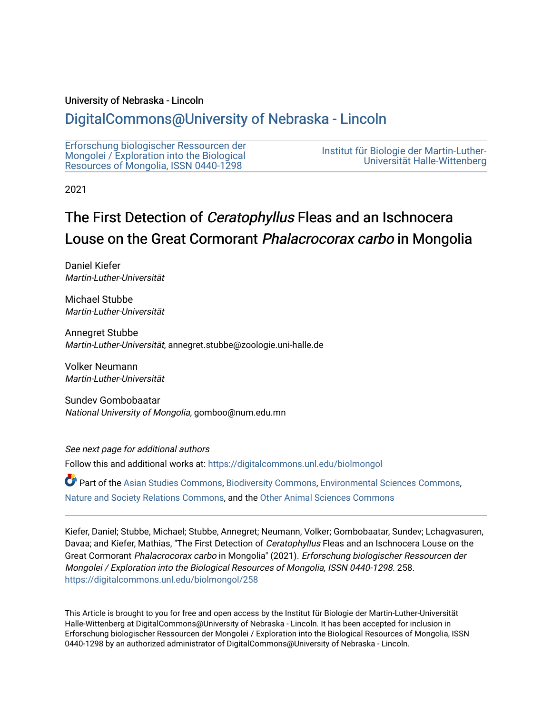# University of Nebraska - Lincoln

# [DigitalCommons@University of Nebraska - Lincoln](https://digitalcommons.unl.edu/)

| Erforschung biologischer Ressourcen der<br>Mongolei / Exploration into the Biological<br>Resources of Mongolia, ISSN 0440-1298 | Institut für Biologie der Martin-Luther-<br>Universität Halle-Wittenberg |
|--------------------------------------------------------------------------------------------------------------------------------|--------------------------------------------------------------------------|
|--------------------------------------------------------------------------------------------------------------------------------|--------------------------------------------------------------------------|

2021

# The First Detection of Ceratophyllus Fleas and an Ischnocera Louse on the Great Cormorant Phalacrocorax carbo in Mongolia

Daniel Kiefer Martin-Luther-Universität

Michael Stubbe Martin-Luther-Universität

Annegret Stubbe Martin-Luther-Universität, annegret.stubbe@zoologie.uni-halle.de

Volker Neumann Martin-Luther-Universität

Sundev Gombobaatar National University of Mongolia, gomboo@num.edu.mn

See next page for additional authors Follow this and additional works at: [https://digitalcommons.unl.edu/biolmongol](https://digitalcommons.unl.edu/biolmongol?utm_source=digitalcommons.unl.edu%2Fbiolmongol%2F258&utm_medium=PDF&utm_campaign=PDFCoverPages) 

Part of the [Asian Studies Commons,](http://network.bepress.com/hgg/discipline/361?utm_source=digitalcommons.unl.edu%2Fbiolmongol%2F258&utm_medium=PDF&utm_campaign=PDFCoverPages) [Biodiversity Commons](http://network.bepress.com/hgg/discipline/1127?utm_source=digitalcommons.unl.edu%2Fbiolmongol%2F258&utm_medium=PDF&utm_campaign=PDFCoverPages), [Environmental Sciences Commons](http://network.bepress.com/hgg/discipline/167?utm_source=digitalcommons.unl.edu%2Fbiolmongol%2F258&utm_medium=PDF&utm_campaign=PDFCoverPages), [Nature and Society Relations Commons,](http://network.bepress.com/hgg/discipline/357?utm_source=digitalcommons.unl.edu%2Fbiolmongol%2F258&utm_medium=PDF&utm_campaign=PDFCoverPages) and the [Other Animal Sciences Commons](http://network.bepress.com/hgg/discipline/82?utm_source=digitalcommons.unl.edu%2Fbiolmongol%2F258&utm_medium=PDF&utm_campaign=PDFCoverPages) 

Kiefer, Daniel; Stubbe, Michael; Stubbe, Annegret; Neumann, Volker; Gombobaatar, Sundev; Lchagvasuren, Davaa; and Kiefer, Mathias, "The First Detection of Ceratophyllus Fleas and an Ischnocera Louse on the Great Cormorant Phalacrocorax carbo in Mongolia" (2021). Erforschung biologischer Ressourcen der Mongolei / Exploration into the Biological Resources of Mongolia, ISSN 0440-1298. 258. [https://digitalcommons.unl.edu/biolmongol/258](https://digitalcommons.unl.edu/biolmongol/258?utm_source=digitalcommons.unl.edu%2Fbiolmongol%2F258&utm_medium=PDF&utm_campaign=PDFCoverPages) 

This Article is brought to you for free and open access by the Institut für Biologie der Martin-Luther-Universität Halle-Wittenberg at DigitalCommons@University of Nebraska - Lincoln. It has been accepted for inclusion in Erforschung biologischer Ressourcen der Mongolei / Exploration into the Biological Resources of Mongolia, ISSN 0440-1298 by an authorized administrator of DigitalCommons@University of Nebraska - Lincoln.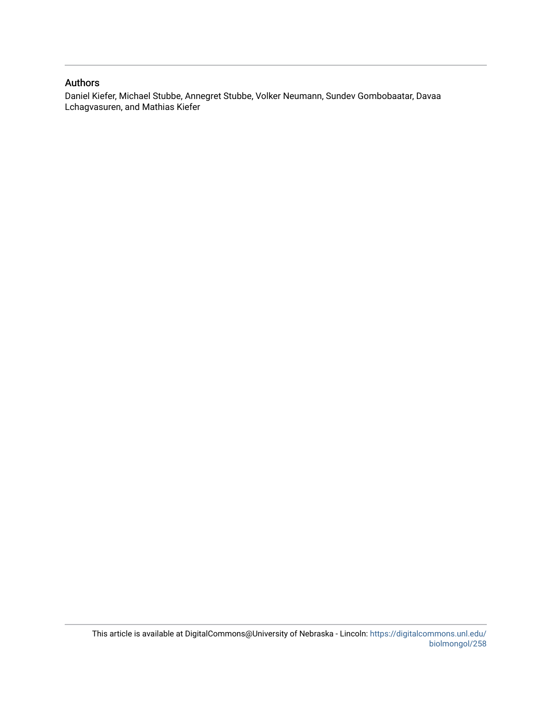# Authors

Daniel Kiefer, Michael Stubbe, Annegret Stubbe, Volker Neumann, Sundev Gombobaatar, Davaa Lchagvasuren, and Mathias Kiefer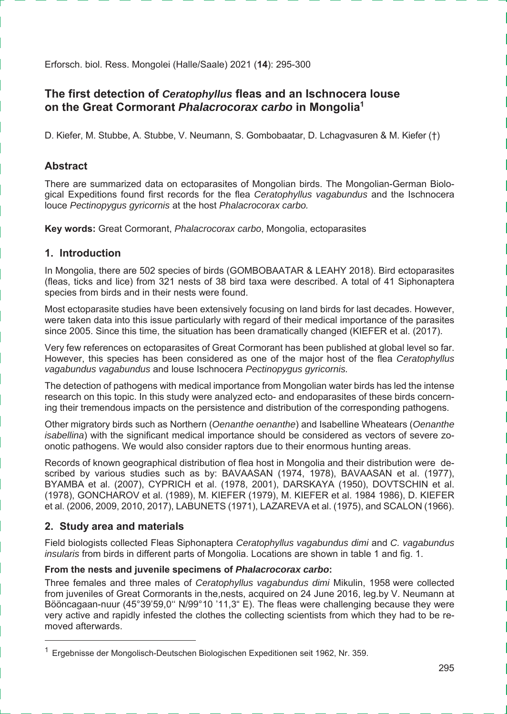Erforsch. biol. Ress. Mongolei (Halle/Saale) 2021 (**14**): 295-300

# **The first detection of** *Ceratophyllus* **fleas and an Ischnocera louse on the Great Cormorant** *Phalacrocorax carbo* **in Mongolia1**

D. Kiefer, M. Stubbe, A. Stubbe, V. Neumann, S. Gombobaatar, D. Lchagvasuren & M. Kiefer (†)

# **Abstract**

There are summarized data on ectoparasites of Mongolian birds. The Mongolian-German Biological Expeditions found first records for the flea *Ceratophyllus vagabundus* and the Ischnocera louce *Pectinopygus gyricornis* at the host *Phalacrocorax carbo.*

**Key words:** Great Cormorant, *Phalacrocorax carbo*, Mongolia, ectoparasites

#### **1. Introduction**

In Mongolia, there are 502 species of birds (GOMBOBAATAR & LEAHY 2018). Bird ectoparasites (fleas, ticks and lice) from 321 nests of 38 bird taxa were described. A total of 41 Siphonaptera species from birds and in their nests were found.

Most ectoparasite studies have been extensively focusing on land birds for last decades. However, were taken data into this issue particularly with regard of their medical importance of the parasites since 2005. Since this time, the situation has been dramatically changed (KIEFER et al. (2017).

Very few references on ectoparasites of Great Cormorant has been published at global level so far. However, this species has been considered as one of the major host of the flea *Ceratophyllus vagabundus vagabundus* and louse Ischnocera *Pectinopygus gyricornis.*

The detection of pathogens with medical importance from Mongolian water birds has led the intense research on this topic. In this study were analyzed ecto- and endoparasites of these birds concerning their tremendous impacts on the persistence and distribution of the corresponding pathogens.

Other migratory birds such as Northern (*Oenanthe oenanthe*) and Isabelline Wheatears (*Oenanthe isabellina*) with the significant medical importance should be considered as vectors of severe zoonotic pathogens. We would also consider raptors due to their enormous hunting areas.

Records of known geographical distribution of flea host in Mongolia and their distribution were described by various studies such as by: BAVAASAN (1974, 1978), BAVAASAN et al. (1977), BYAMBA et al. (2007), CYPRICH et al. (1978, 2001), DARSKAYA (1950), DOVTSCHIN et al. (1978), GONCHAROV et al. (1989), M. KIEFER (1979), M. KIEFER et al. 1984 1986), D. KIEFER et al. (2006, 2009, 2010, 2017), LABUNETS (1971), LAZAREVA et al. (1975), and SCALON (1966).

# **2. Study area and materials**

 $\overline{a}$ 

Field biologists collected Fleas Siphonaptera *Ceratophyllus vagabundus dimi* and *C. vagabundus insularis* from birds in different parts of Mongolia. Locations are shown in table 1 and fig. 1.

#### **From the nests and juvenile specimens of** *Phalacrocorax carbo***:**

Three females and three males of *Ceratophyllus vagabundus dimi* Mikulin, 1958 were collected from juveniles of Great Cormorants in the,nests, acquired on 24 June 2016, leg.by V. Neumann at Bööncagaan-nuur (45°39'59,0'' N/99°10 '11,3" E). The fleas were challenging because they were very active and rapidly infested the clothes the collecting scientists from which they had to be removed afterwards.

<sup>&</sup>lt;sup>1</sup> Ergebnisse der Mongolisch-Deutschen Biologischen Expeditionen seit 1962, Nr. 359.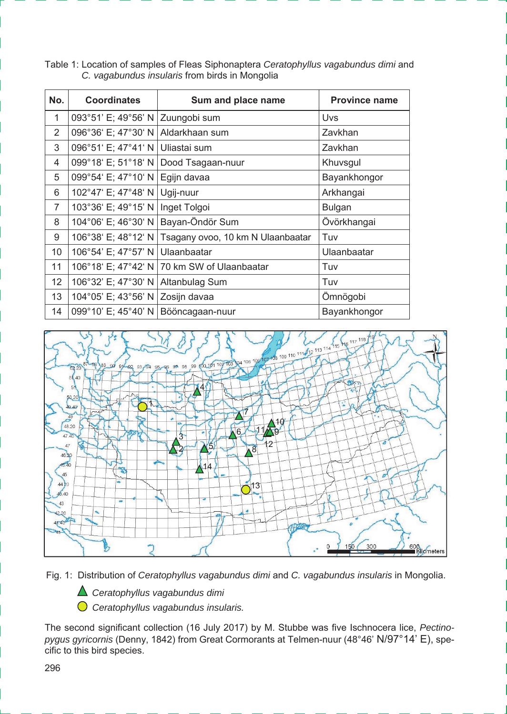| No.             | <b>Coordinates</b>  | Sum and place name                | <b>Province name</b> |
|-----------------|---------------------|-----------------------------------|----------------------|
| 1               | 093°51' E; 49°56' N | Zuungobi sum                      | Uvs                  |
| 2               | 096°36' E; 47°30' N | Aldarkhaan sum                    | Zavkhan              |
| 3               | 096°51' E; 47°41' N | Uliastai sum                      | Zavkhan              |
| 4               | 099°18' E; 51°18' N | Dood Tsagaan-nuur                 | Khuvsgul             |
| 5               | 099°54' E; 47°10' N | Egijn davaa                       | Bayankhongor         |
| 6               | 102°47' E; 47°48' N | Ugij-nuur                         | Arkhangai            |
| $\overline{7}$  | 103°36' E; 49°15' N | Inget Tolgoi                      | <b>Bulgan</b>        |
| 8               | 104°06' E; 46°30' N | Bayan-Öndör Sum                   | Övörkhangai          |
| 9               | 106°38' E; 48°12' N | Tsagany ovoo, 10 km N Ulaanbaatar | Tuv                  |
| 10              | 106°54' E; 47°57' N | Ulaanbaatar                       | Ulaanbaatar          |
| 11              | 106°18' E; 47°42' N | 70 km SW of Ulaanbaatar           | Tuv                  |
| 12 <sup>2</sup> | 106°32' E; 47°30' N | Altanbulag Sum                    | Tuv                  |
| 13              | 104°05' E; 43°56' N | Zosijn davaa                      | Ömnögobi             |
| 14              | 099°10' E; 45°40' N | Bööncagaan-nuur                   | Bayankhongor         |

Table 1: Location of samples of Fleas Siphonaptera *Ceratophyllus vagabundus dimi* and *C. vagabundus insularis* from birds in Mongolia





- *Ceratophyllus vagabundus dimi*
- *Ceratophyllus vagabundus insularis.*

The second significant collection (16 July 2017) by M. Stubbe was five Ischnocera lice, *Pectinopygus gyricornis* (Denny, 1842) from Great Cormorants at Telmen-nuur (48°46' N/97°14' E), specific to this bird species.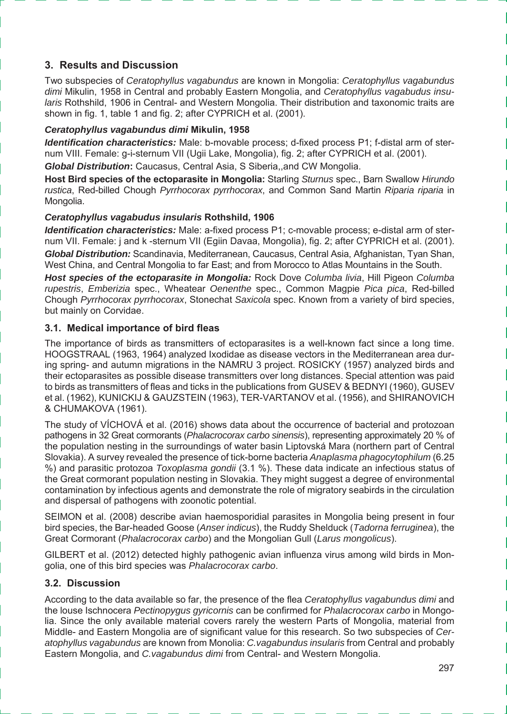# **3. Results and Discussion**

Two subspecies of *Ceratophyllus vagabundus* are known in Mongolia: *Ceratophyllus vagabundus dimi* Mikulin, 1958 in Central and probably Eastern Mongolia, and *Ceratophyllus vagabudus insularis* Rothshild, 1906 in Central- and Western Mongolia. Their distribution and taxonomic traits are shown in fig. 1, table 1 and fig. 2; after CYPRICH et al. (2001).

#### *Ceratophyllus vagabundus dimi* **Mikulin, 1958**

*Identification characteristics:* Male: b-movable process; d-fixed process P1; f-distal arm of sternum VIII. Female: g-i-sternum VII (Ugii Lake, Mongolia), fig. 2; after CYPRICH et al. (2001).

*Global Distribution***:** Caucasus, Central Asia, S Siberia,,and CW Mongolia.

**Host Bird species of the ectoparasite in Mongolia:** Starling *Sturnus* spec., Barn Swallow *Hirundo rustica*, Red-billed Chough *Pyrrhocorax pyrrhocorax*, and Common Sand Martin *Riparia riparia* in Mongolia.

#### *Ceratophyllus vagabudus insularis* **Rothshild, 1906**

*Identification characteristics:* Male: a-fixed process P1; c-movable process; e-distal arm of sternum VII. Female: j and k -sternum VII (Egiin Davaa, Mongolia), fig. 2; after CYPRICH et al. (2001).

*Global Distribution:* Scandinavia, Mediterranean, Caucasus, Central Asia, Afghanistan, Tyan Shan, West China, and Central Mongolia to far East; and from Morocco to Atlas Mountains in the South.

*Host species of the ectoparasite in Mongolia:* Rock Dove *Columba livia*, Hill Pigeon *Columba rupestris*, *Emberizia* spec., Wheatear *Oenenthe* spec., Common Magpie *Pica pica*, Red-billed Chough *Pyrrhocorax pyrrhocorax*, Stonechat *Saxicola* spec. Known from a variety of bird species, but mainly on Corvidae.

#### **3.1. Medical importance of bird fleas**

The importance of birds as transmitters of ectoparasites is a well-known fact since a long time. HOOGSTRAAL (1963, 1964) analyzed Ixodidae as disease vectors in the Mediterranean area during spring- and autumn migrations in the NAMRU 3 project. ROSICKY (1957) analyzed birds and their ectoparasites as possible disease transmitters over long distances. Special attention was paid to birds as transmitters of fleas and ticks in the publications from GUSEV & BEDNYI (1960), GUSEV et al. (1962), KUNICKIJ & GAUZSTEIN (1963), TER-VARTANOV et al. (1956), and SHIRANOVICH & CHUMAKOVA (1961).

The study of VÍCHOVÁ et al. (2016) shows data about the occurrence of bacterial and protozoan pathogens in 32 Great cormorants (*Phalacrocorax carbo sinensis*), representing approximately 20 % of the population nesting in the surroundings of water basin Liptovská Mara (northern part of Central Slovakia). A survey revealed the presence of tick-borne bacteria *Anaplasma phagocytophilum* (6.25 %) and parasitic protozoa *Toxoplasma gondii* (3.1 %). These data indicate an infectious status of the Great cormorant population nesting in Slovakia. They might suggest a degree of environmental contamination by infectious agents and demonstrate the role of migratory seabirds in the circulation and dispersal of pathogens with zoonotic potential.

SEIMON et al. (2008) describe avian haemosporidial parasites in Mongolia being present in four bird species, the Bar-headed Goose (*Anser indicus*), the Ruddy Shelduck (*Tadorna ferruginea*), the Great Cormorant (*Phalacrocorax carbo*) and the Mongolian Gull (*Larus mongolicus*).

GILBERT et al. (2012) detected highly pathogenic avian influenza virus among wild birds in Mongolia, one of this bird species was *Phalacrocorax carbo*.

# **3.2. Discussion**

According to the data available so far, the presence of the flea *Ceratophyllus vagabundus dimi* and the louse Ischnocera *Pectinopygus gyricornis* can be confirmed for *Phalacrocorax carbo* in Mongolia. Since the only available material covers rarely the western Parts of Mongolia, material from Middle- and Eastern Mongolia are of significant value for this research. So two subspecies of *Ceratophyllus vagabundus* are known from Monolia: *C.vagabundus insularis* from Central and probably Eastern Mongolia, and *C.vagabundus dimi* from Central- and Western Mongolia.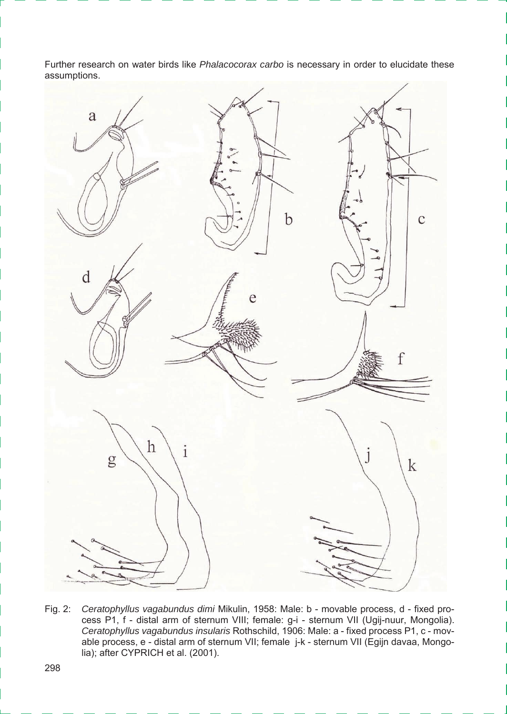Further research on water birds like *Phalacocorax carbo* is necessary in order to elucidate these assumptions.



Fig. 2: *Ceratophyllus vagabundus dimi* Mikulin, 1958: Male: b - movable process, d - fixed process P1, f - distal arm of sternum VIII; female: g-i - sternum VII (Ugij-nuur, Mongolia). *Ceratophyllus vagabundus insularis* Rothschild, 1906: Male: a - fixed process P1, c - movable process, e - distal arm of sternum VII; female j-k - sternum VII (Egijn davaa, Mongolia); after CYPRICH et al. (2001).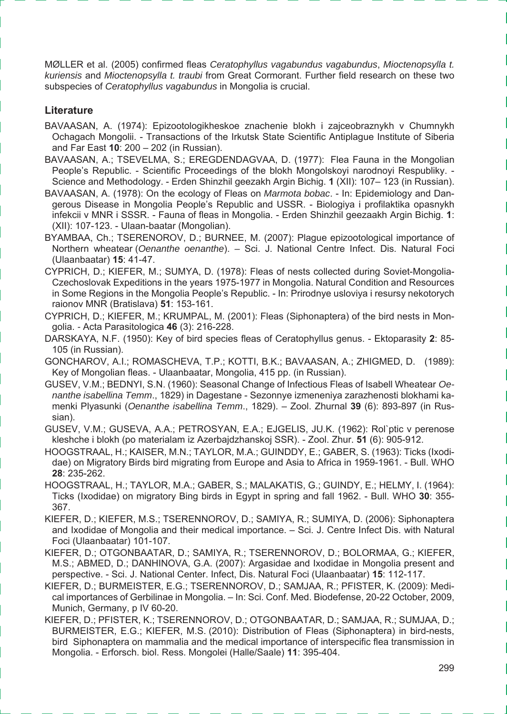MØLLER et al. (2005) confirmed fleas *Ceratophyllus vagabundus vagabundus*, *Mioctenopsylla t. kuriensis* and *Mioctenopsylla t. traubi* from Great Cormorant. Further field research on these two subspecies of *Ceratophyllus vagabundus* in Mongolia is crucial.

#### **Literature**

- BAVAASAN, A. (1974): Epizootologikheskoe znachenie blokh i zajceobraznykh v Chumnykh Ochagach Mongolii. - Transactions of the Irkutsk State Scientific Antiplague Institute of Siberia and Far East **10**: 200 – 202 (in Russian).
- BAVAASAN, A.; TSEVELMA, S.; EREGDENDAGVAA, D. (1977): Flea Fauna in the Mongolian People's Republic. - Scientific Proceedings of the blokh Mongolskoyi narodnoyi Respubliky. - Science and Methodology. - Erden Shinzhil geezakh Argin Bichig. **1** (XII): 107– 123 (in Russian).
- BAVAASAN, A. (1978): On the ecology of Fleas on *Marmota bobac*. In: Epidemiology and Dangerous Disease in Mongolia People's Republic and USSR. - Biologiya i profilaktika opasnykh infekcii v MNR i SSSR. - Fauna of fleas in Mongolia. - Erden Shinzhil geezaakh Argin Bichig. **1**: (XII): 107-123. - Ulaan-baatar (Mongolian).
- BYAMBAA, Ch.; TSERENOROV, D.; BURNEE, M. (2007): Plague epizootological importance of Northern wheatear (*Oenanthe oenanthe*). *–* Sci. J. National Centre Infect. Dis. Natural Foci (Ulaanbaatar) **15**: 41-47.
- CYPRICH, D.; KIEFER, M.; SUMYA, D. (1978): Fleas of nests collected during Soviet-Mongolia-Czechoslovak Expeditions in the years 1975-1977 in Mongolia. Natural Condition and Resources in Some Regions in the Mongolia People's Republic. - In: Prirodnye usloviya i resursy nekotorych raionov MNR (Bratislava) **51**: 153-161.
- CYPRICH, D.; KIEFER, M.; KRUMPAL, M. (2001): Fleas (Siphonaptera) of the bird nests in Mongolia. *-* Acta Parasitologica **46** (3): 216-228.
- DARSKAYA, N.F. (1950): Key of bird species fleas of Ceratophyllus genus. Ektoparasity **2**: 85- 105 (in Russian).
- GONCHAROV, A.I.; ROMASCHEVA, T.P.; KOTTI, B.K.; BAVAASAN, A.; ZHIGMED, D. (1989): Key of Mongolian fleas. - Ulaanbaatar, Mongolia, 415 pp. (in Russian).
- GUSEV, V.M.; BEDNYI, S.N. (1960): Seasonal Change of Infectious Fleas of Isabell Wheatear *Oenanthe isabellina Temm*., 1829) in Dagestane - Sezonnye izmeneniya zarazhenosti blokhami kamenki Plyasunki (*Oenanthe isabellina Temm*., 1829). – Zool. Zhurnal **39** (6): 893-897 (in Russian).
- GUSEV, V.M.; GUSEVA, A.A.; PETROSYAN, E.A.; EJGELIS, JU.K. (1962): Rol`ptic v perenose kleshche i blokh (po materialam iz Azerbajdzhanskoj SSR). - Zool. Zhur. **51** (6): 905-912.
- HOOGSTRAAL, H.; KAISER, M.N.; TAYLOR, M.A.; GUINDDY, E.; GABER, S. (1963): Ticks (Ixodidae) on Migratory Birds bird migrating from Europe and Asia to Africa in 1959-1961. - Bull. WHO **28**: 235-262.
- HOOGSTRAAL, H.; TAYLOR, M.A.; GABER, S.; MALAKATIS, G.; GUINDY, E.; HELMY, I. (1964): Ticks (Ixodidae) on migratory Bing birds in Egypt in spring and fall 1962. - Bull. WHO **30**: 355- 367.
- KIEFER, D.; KIEFER, M.S.; TSERENNOROV, D.; SAMIYA, R.; SUMIYA, D. (2006): Siphonaptera and Ixodidae of Mongolia and their medical importance. – Sci. J. Centre Infect Dis. with Natural Foci (Ulaanbaatar) 101-107.
- KIEFER, D.; OTGONBAATAR, D.; SAMIYA, R.; TSERENNOROV, D.; BOLORMAA, G.; KIEFER, M.S.; ABMED, D.; DANHINOVA, G.A. (2007): Argasidae and Ixodidae in Mongolia present and perspective. - Sci. J. National Center. Infect, Dis. Natural Foci (Ulaanbaatar) **15**: 112-117.
- KIEFER, D.; BURMEISTER, E.G.; TSERENNOROV, D.; SAMJAA, R.; PFISTER, K. (2009): Medical importances of Gerbilinae in Mongolia. – In: Sci. Conf. Med. Biodefense, 20-22 October, 2009, Munich, Germany, p IV 60-20.
- KIEFER, D.; PFISTER, K.; TSERENNOROV, D.; OTGONBAATAR, D.; SAMJAA, R.; SUMJAA, D.; BURMEISTER, E.G.; KIEFER, M.S. (2010): Distribution of Fleas (Siphonaptera) in bird-nests, bird Siphonaptera on mammalia and the medical importance of interspecific flea transmission in Mongolia. - Erforsch. biol. Ress. Mongolei (Halle/Saale) **11**: 395-404.